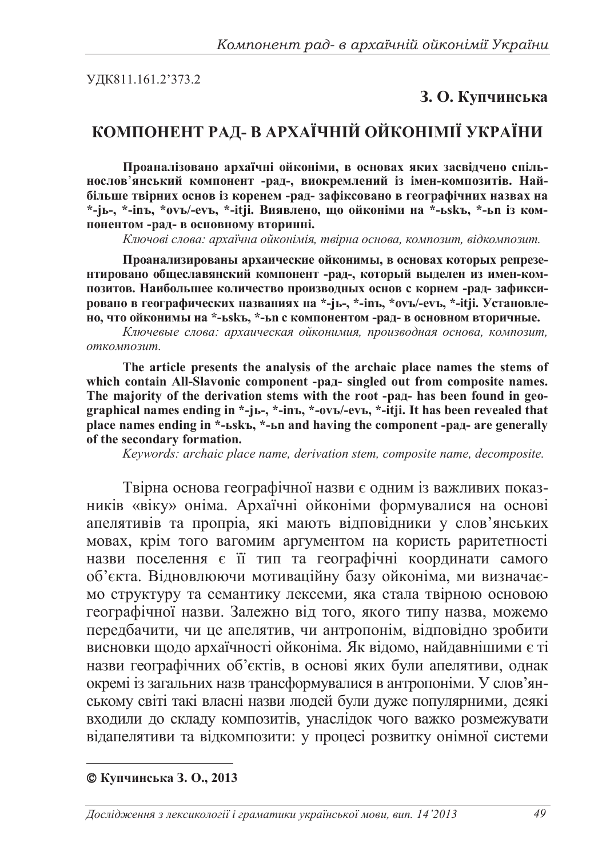УДК811.161.2'373.2

## **3. О. Купчинська**

## КОМПОНЕНТ РАД- В АРХАЇЧНІЙ ОЙКОНІМІЇ УКРАЇНИ

Проаналізовано архаїчні ойконіми, в основах яких засвідчено спіль-**НОСЛОВ**'ЯНСЬКИЙ КОМПОНЕНТ -РАД-, ВИОКРЕМЛЕНИЙ ИЗ ИМЕН-КОМПОЗИТИВ. НАЙбільше твірних основ із коренем -рад-зафіксовано в географічних назвах на \*-јь-, \*-inъ, \*оvъ/-еvъ, \*-itji. Виявлено, що ойконіми на \*-ьsкъ, \*-ьn із ком-ПОНЕНТОМ -РАД- В ОСНОВНОМУ ВТОРИННІ.

Ключові слова: архаїчна ойконімія, твірна основа, композит, відкомпозит.

Проанализированы архаические ойконимы, в основах которых репрезе-**НТИРОВАНО ОбЩЕСЛАВЯНСКИЙ КОМПОНЕНТ -РАД-, КОТОРЫЙ ВЫДЕЛЕН ИЗ ИМЕН-КОМ**позитов. Наибольшее количество производных основ с корнем -рад- зафиксировано в географических названиях на \*-jь-, \*-inъ, \*ovъ/-evъ, \*-itji. Установле-НО, ЧТО ОЙКОНИМЫ НА \*-ЬЅКЪ, \*-ЬП С КОМПОНЕНТОМ -DАД- В ОСНОВНОМ ВТОРИЧНЫЕ.

Ключевые слова: архаическая ойконимия, производная основа, композит,  $$ 

**The article presents the analysis of the archaic place names the stems of**  which contain All-Slavonic component -pag- singled out from composite names. The majority of the derivation stems with the root -pan- has been found in geo**graphical names ending in \*-jɶ-, \*-inɴ, \*-ovɴ/-evɴ, \*-itji. It has been revealed that place names ending in \*-ɶskɴ, \*-ɶn and having the component -ɪɚɞ- are generally of the secondary formation.** 

*Keywords: archaic place name, derivation stem, composite name, decomposite.* 

Твірна основа географічної назви є одним із важливих показників «віку» оніма. Архаїчні ойконіми формувалися на основі апелятивів та пропріа, які мають відповідники у слов'янських мовах, крім того вагомим аргументом на користь раритетності назви поселення є її тип та географічні координати самого об'єкта. Відновлюючи мотиваційну базу ойконіма, ми визначаємо структуру та семантику лексеми, яка стала твірною основою географічної назви. Залежно від того, якого типу назва, можемо передбачити, чи це апелятив, чи антропонім, відповідно зробити висновки щодо архаїчності ойконіма. Як відомо, найдавнішими є ті назви географічних об'єктів, в основі яких були апелятиви, однак окремі із загальних назв трансформувалися в антропоніми. У слов'янському світі такі власні назви людей були дуже популярними, деякі входили до складу композитів, унаслідок чого важко розмежувати відапелятиви та відкомпозити: у процесі розвитку онімної системи

**ɄɭɩɱɢɧɫɶɤɚɁ. Ɉ., 2013**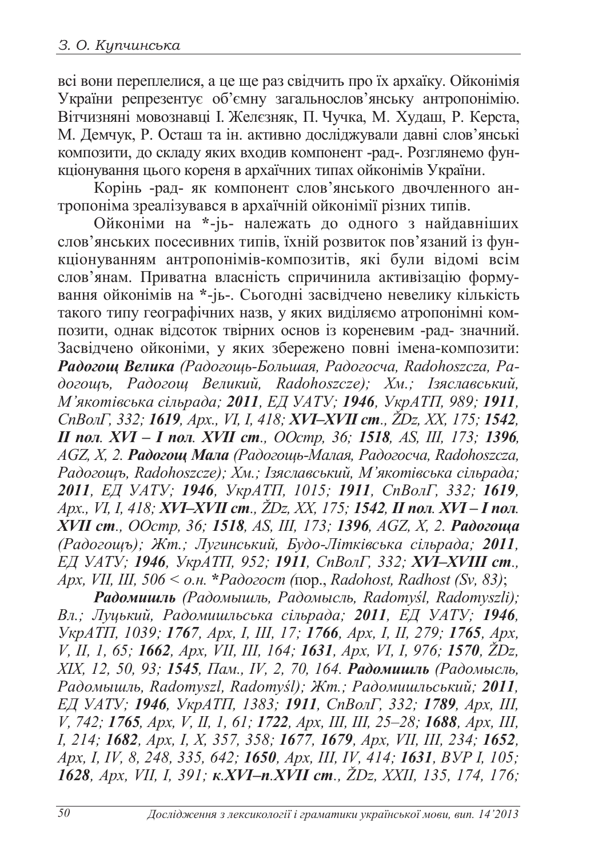всі вони переплелися, а це ще раз свідчить про їх архаїку. Ойконімія України репрезентує об'ємну загальнослов'янську антропонімію. Вітчизняні мовознавці І. Желєзняк, П. Чучка, М. Худаш, Р. Керста, М. Демчук, Р. Осташ та ін. активно досліджували давні слов'янські композити, до складу яких входив компонент -рад-. Розглянемо функціонування цього кореня в архаїчних типах ойконімів України.

корінь -рад- як компонент слов'янського двочленного антропоніма зреалізувався в архаїчній ойконімії різних типів.

Ойконіми на \*-јь- належать до одного з найдавніших слов'янських посесивних типів, їхній розвиток пов'язаний із функціонуванням антропонімів-композитів, які були відомі всім слов'янам. Приватна власність спричинила активізацію формування ойконімів на \*-јь-. Сьогодні засвідчено невелику кількість такого типу географічних назв, у яких виділяємо атропонімні композити, однак відсоток твірних основ із кореневим -рад- значний. Засвідчено ойконіми, у яких збережено повні імена-композити: Радогощ Велика (Радогощь-Большая, Радогосча, Radohoszcza, Pa- $\partial$ огощъ, Радогощ Великий, Radohoszcze); Хм.; Ізяславський,  $M'$ якотівська сільрада; 2011, ЕД УАТУ; 1946, УкрАТП, 989; 1911, *ɋɩȼɨɥȽ, 332; 1619, Ⱥɪɯ., VI, I, 418; XVI–XVIȱɫɬ., ŽDz, XX, 175; 1542, II ɩɨɥ. XVI – I ɩɨɥ. XVII ɫɬ., ɈɈɫɬɪ, 36; 1518, AS, III, 173; 1396, AGZ, X, 2. Радогощ Мала (Радогощь-Малая, Радогосча, Radohoszcza,* Радогощъ, Radohoszcze); *Хм.*; *Ізяславський*, М'якотівська сільрада; *2011, ȿȾ ɍȺɌɍ; 1946, ɍɤɪȺɌɉ, 1015; 1911, ɋɩȼɨɥȽ, 332; 1619,*  $Apx$ ., VI, I, 418; XVI–XVII ст., ŽDz, XX, 175; 1542, II пол. XVI – I пол. *XVII ст., ООстр, 36; 1518, AS, III, 173; 1396, AGZ, X, 2. Радогоща Ɋɚɞɨɝɨɳɴ); ɀɬ.; Ʌɭɝɢɧɫɶɤɢɣ, ȻɭɞɨɅɿɬɤɿɜɫɶɤɚ ɫɿɥɶɪɚɞɚ; 2011, ȿȾɍȺɌɍ; 1946, ɍɤɪȺɌɉ, 952; 1911, ɋɩȼɨɥȽ, 332; XVI–XVIII ɫɬ., Apx, VII, III, 506* <  $\alpha$ .н. \**Padozocm* (пор., *Radohost, Radhost (Sv, 83)*;

 $Padо,(Paòомышль, Padомысль, Radомысль, Radomyśl, Radomyszli);$  $B_{\pi}$ ; Луцький, Радомишльська сільрада; 2011, ЕД УАТУ; 1946, *ɍɤɪȺɌɉ, 1039; 1767, Ⱥɪɯ, I, III, 17; 1766, Ⱥɪɯ, I, II, 279; 1765, Ⱥɪɯ, V, II, 1, 65; 1662, Ⱥɪɯ, VII, III, 164; 1631, Ⱥɪɯ, VI, I, 976; 1570, ŽDz, XIX*, 12, 50, 93; **1545**, Пам., IV, 2, 70, 164. Радомишль (Радомысль,  $Pa\partial$ *омышль, Radomyszl, Radomyśl); Жт.; Радомишльський; 2011, ȿȾɍȺɌɍ; 1946, ɍɤɪȺɌɉ, 1383; 1911, ɋɩȼɨɥȽ, 332; 1789, Ⱥɪɯ, III, V, 742; 1765, Ⱥɪɯ, V, II, 1, 61; 1722, Ⱥɪɯ, III, III, 25–28; 1688, Ⱥɪɯ, III, I, 214; 1682, Ⱥɪɯ, I, X, 357, 358; 1677, 1679, Ⱥɪɯ, VII, III, 234; 1652, Apx, I, IV, 8, 248, 335, 642; 1650, Apx, III, IV, 414; 1631, BVP I, 105; 1628, Ⱥɪɯ, VII, I, 391; ɤ.XVI–ɩ.XVII ɫɬ., ŽDz, XXII, 135, 174, 176;*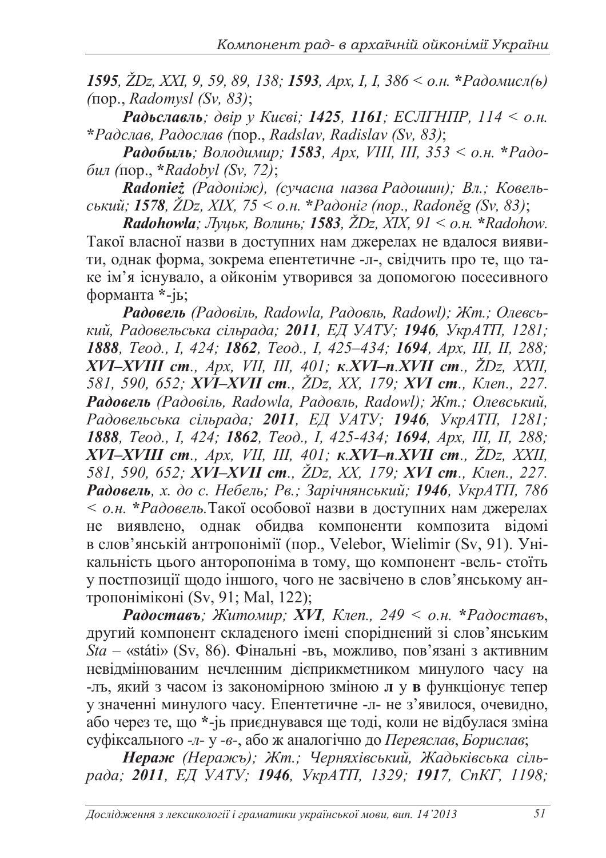*1595*,  $\check{Z}Dz$ , XXI, 9, 59, 89, 138; **1593**, *Apx, I, I, 386* < *о.н.* \**Радомисл*(*ь*) *(*ɩɨɪ., *Radomysl (Sv, 83)*;

**Радьславль**; двір у Києві; 1425, 1161; ЕСЛГНПР, 114 < о.н. **\****Ɋɚɞɫɥɚɜ, Ɋɚɞɨɫɥɚɜ (*ɩɨɪ., *Radslav, Radislav (Sv, 83)*;

**Радобыль**; Володимир; 1583, Арх, VIII, III, 353 < о.н. \*Радо- $6\mu\pi$  (πορ., *\*Radobyl (Sv, 72)*;

**Radonie**ż (Радоніж), (сучасна назва Радошин); Вл.; Ковель*ɫɶɤɢɣ; 1578, ŽDz, XIX, 75 < ɨɧ.* **\****Ɋɚɞɨɧɿɝ (ɩɨɪ., RadonČg (Sv, 83)*;

*Radohowla; Ʌɭɰɶɤ, ȼɨɥɢɧɶ; 1583, ŽDz, ɏȱɏ, 91 < ɨɧ.* **\****Radohow.* Такої власної назви в доступних нам джерелах не вдалося виявити, однак форма, зокрема епентетичне -л-, свідчить про те, що таке iм'я iснувало, а ойконім утворився за допомогою посесивного форманта \*-jь;

Fадовель (Радовіль, Radowla, Радовль, Radowl); Жт.; Олевсь*ɤɢɣ, Ɋɚɞɨɜɟɥɶɫɶɤɚɫɿɥɶɪɚɞɚ; 2011, ȿȾɍȺɌɍ; 1946, ɍɤɪȺɌɉ, 1281; 1888, Ɍɟɨɞ., ȱ, 424; 1862, Ɍɟɨɞ., I, 425–434; 1694, Ⱥɪɯ, ȱȱȱ, ȱȱ, 288; XVI–XVIII cm., Apx, VII, III, 401; <i>κ.XVI–n.XVII cm., ŽDz, XXII, 581, 590, 652; <i>XVI–XVII cm., ŽDz, XX, 179; XVI cm., Knen., 227.*  $P$ адовель (Радовіль, Radowla, Радовль, Radowl); Жт.; Олевський, Радовельська сільрада; 2011, ЕД УАТУ; 1946, УкрАТП, 1281; *1888, Ɍɟɨɞ., ȱ, 424; 1862, Ɍɟɨɞ., I, 425-434; 1694, Ⱥɪɯ, ȱȱȱ, ȱȱ, 288; XVI–XVIII cm., Apx, VII, III, 401; <i>κ.XVI–n.XVII cm., ŽDz, XXII, 581, 590, 652; <i>XVI–XVII cm., ŽDz, XX, 179; XVI cm., Knen., 227. Ɋɚɞɨɜɟɥɶ, ɯ. ɞɨɫ. ɇɟɛɟɥɶ; Ɋɜ.; Ɂɚɪɿɱɧɹɧɫɶɤɢɣ; 1946, ɍɤɪȺɌɉ, 786*  < о.н. \*Радовель. Такої особової назви в доступних нам джерелах не виявлено, однак обидва компоненти композита відомі в слов'янській антропонімії (пор., Velebor, Wielimir (Sv, 91). Унікальність цього анторопоніма в тому, що компонент -вель- стоїть у постпозиції щодо іншого, чого не засвічено в слов'янському антропоніміконі (Sv, 91; Mal, 122);

**Радоставъ**; Житомир; XVI, Клеп., 249 < о.н. \*Радоставъ, другий компонент складеного імені споріднений зі слов'янським <sup>∴г</sup>у<br>*Sta* – «státi» (Sv, 86). Фінальні -въ, можливо, пов'язані з активним невідмінюваним нечленним дієприкметником минулого часу на -лъ, який з часом із закономірною зміною л у в функціонує тепер у значенні минулого часу. Епентетичне -л- не з'явилося, очевидно, або через те, що \*-јь приєднувався ще тоді, коли не відбулася зміна суфіксального -л- у -в-, або ж аналогічно до *Переяслав*, *Борислав*;

Нераж (Неражъ); Жт.; Черняхівський, Жадьківська сіль*ɪɚɞɚ; 2011, ȿȾ ɍȺɌɍ; 1946, ɍɤɪȺɌɉ, 1329; 1917, ɋɩɄȽ, 1198;*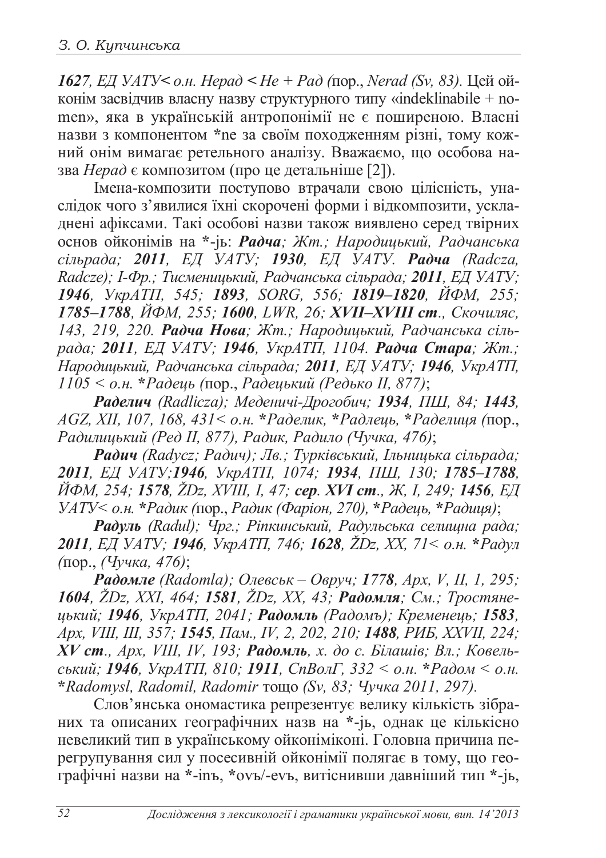*1627, ЕД УАТУ< о.н. Нерад < Не + Рад (пор., Nerad (Sv, 83).* Цей ойконім засвідчив власну назву структурного типу «indeklinabile + nomen», яка в українській антропонімії не є поширеною. Власні назви з компонентом \*ne за своїм походженням різні, тому кожний онім вимагає ретельного аналізу. Вважаємо, що особова назва *Нерад* є композитом (про це детальніше [2]).

Iмена-композити поступово втрачали свою цілісність, унаслідок чого з'явилися їхні скорочені форми і відкомпозити, ускладнені афіксами. Такі особові назви також виявлено серед твірних **основ ойконімів на \*-јь: Радча; Жт.; Народицький, Радчанська** *ciльрада; 2011, ЕД УАТУ; 1930, ЕД УАТУ. Радча (Radcza, Radcze); І-Фр.; Тисменицький, Радчанська сільрада; 2011, ЕД УАТУ; 1946, ɍɤɪȺɌɉ, 545; 1893, SORG, 556; 1819–1820, ɃɎɆ, 255;*   $1785–1788$ , ЙФМ, 255; 1600, LWR, 26; XVII–XVIII ст., Скочиляс, 143, 219, 220. Радча Нова; Жт.; Народицький, Радчанська сіль $pa∂a; 2011, E/J YATY; 1946, Yk pATI, 1104. Pa∂<sub>4</sub> Cmapa; Km.;$ *ɇɚɪɨɞɢɰɶɤɢɣ, Ɋɚɞɱɚɧɫɶɤɚɫɿɥɶɪɚɞɚ; 2011, ȿȾɍȺɌɍ; 1946, ɍɤɪȺɌɉ, 1105 < ɨɧ.* **\****Ɋɚɞɟɰɶ (*ɩɨɪ.,*Ɋɚɞɟɰɶɤɢɣ (Ɋɟɞɶɤɨ II, 877)*;

*Ɋɚɞɟɥɢɱ (Radlicza); ɆɟɞɟɧɢɱɿȾɪɨɝɨɛɢɱ; 1934, ɉɒ, 84; 1443, AGZ, XII, 107, 168, 431< ɨɧ.* **\****Ɋɚɞɟɥɢɤ,* **\****Ɋɚɞɥɟɰɶ,* **\****Ɋɚɞɟɥɢɰɹ (*ɩɨɪ.,  $Pa$ дилицький (Ред II, 877), Радик, Радило (Чучка, 476);

Радич (Radycz; Радич); Лв.; Турківський, Ільницька сільрада; *2011, ȿȾ ɍȺɌɍ;1946, ɍɤɪȺɌɉ, 1074; 1934, ɉɒ, 130; 1785–1788,*  $\overrightarrow{I}$ *M*, 254; **1578**, ŽDz, XVIII, I, 47; **cep. XVI cm.**, *X*, I, 249; **1456**, EД *ɍȺɌɍ< ɨɧ.* **\****Ɋɚɞɢɤ (*ɩɨɪ.,*Ɋɚɞɢɤ (Ɏɚɪɿɨɧ, 270),* **\****Ɋɚɞɟɰɶ,* **\****Ɋɚɞɢɰɹ)*;

**Радуль** (Radul); Чрг.; Ріпкинський, Радульська селищна рада; *2011, ȿȾɍȺɌɍ; 1946, ɍɤɪȺɌɉ, 746; 1628, ŽDz, XX, 71< ɨɧ.* **\****Ɋɚɞɭɥ (*ɩɨɪ., *(ɑɭɱɤɚ, 476)*;

 $Paòo$ *мле* (Radomla); Олевськ − Овруч; 1778, Арх, V, II, 1, 295; 1604, ŽDz, XXI, 464; 1581, ŽDz, XX, 43; Радомля; См.; Тростяне*ɰɶɤɢɣ; 1946, ɍɤɪȺɌɉ, 2041; Ɋɚɞɨɦɥɶ (Ɋɚɞɨɦɴ); Ʉɪɟɦɟɧɟɰɶ; 1583,*  $Apx$ , VIII, III, 357; 1545, Пам., IV, 2, 202, 210; 1488, PUE, XXVII, 224;  $\dot{X}V$  *cm., Apx, VIII, IV, 193; Радомль, х. до с. Білашів; Вл.; Ковельc*<sub>b</sub>xu $\tilde{u}$ ; **1946**,  $\tilde{y}$ <sub>Kp</sub>AT $\Pi$ , 810; **1911**,  $\tilde{C}$  $n$ Bo*n* $\Gamma$ , 332 <  $o$ .*н*. \**Padom* <  $o$ .*н*. \***Radomysl, Radomil, Radomir тощо (Sv, 83; Чучка 2011, 297).** 

Слов'янська ономастика репрезентує велику кількість зібраних та описаних географічних назв на \*-јь, однак це кількісно невеликий тип в українському ойконіміконі. Головна причина перегрупування сил у посесивній ойконімії полягає в тому, що геотрафічні назви на \*-inъ, \*ovъ/-evъ, витіснивши давніший тип \*-jь,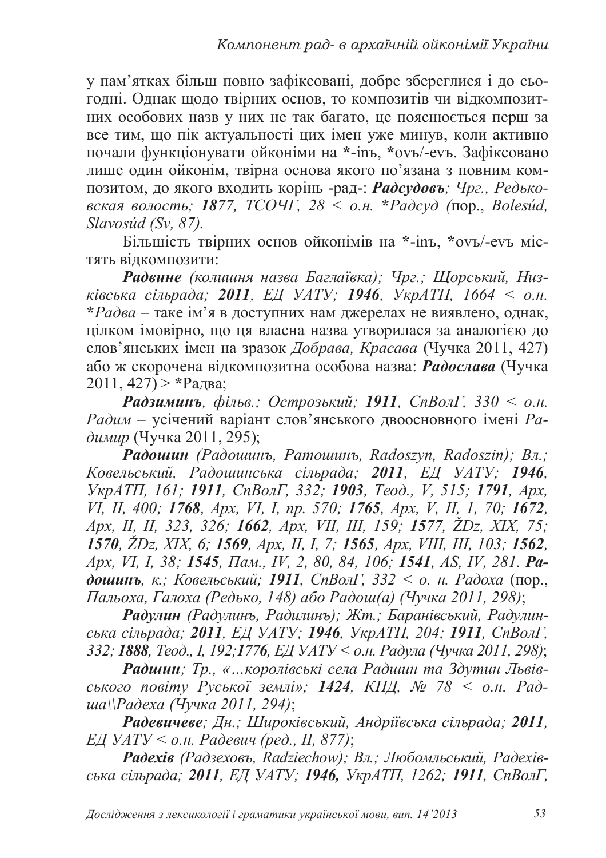у пам'ятках більш повно зафіксовані, добре збереглися і до сьогодні. Однак щодо твірних основ, то композитів чи відкомпозитних особових назв у них не так багато, це пояснюється перш за все тим, що пік актуальності цих імен уже минув, коли активно почали функціонувати ойконіми на \*-inъ, \*ovъ/-evъ. Зафіксовано лише один ойконім, твірна основа якого по'язана з повним композитом, до якого входить корінь -рад-: Радсудовъ; Чрг., Редько*ɜɫɤɚɹ ɜɨɥɨɫɬɶ; 1877, ɌɋɈɑȽ, 28 < ɨɧ.* **\****Ɋɚɞɫɭɞ (*ɩɨɪ., *Bolesúd, Slavosúd (Sv, 87).* 

Більшість твірних основ ойконімів на \*-inъ, \*ovъ/-evъ містять відкомпозити:

Радвине (колишня назва Баглаївка); Чрг.; Щорський, Низ*ківська сільрада; 2011, ЕД УАТУ; 1946, УкрАТП, 1664 < о.н.*  $*Pa$ два – таке ім'я в доступних нам джерелах не виявлено, однак, цілком імовірно, що ця власна назва утворилася за аналогією до слов'янських імен на зразок Добрава, Красава (Чучка 2011, 427) або ж скорочена відкомпозитна особова назва: Радослава (Чучка  $2011, 427$  > \*Pa<sub>IBa</sub>;

**Радзиминъ**, фільв.; Острозький; 1911, СпВолГ, 330 < о.н. Радим – усічений варіант слов'янського двоосновного імені Радимир (Чучка 2011, 295);

 $\hat{P}$ адошин (Радошинъ, Ратошинъ, Radoszyn, Radoszin); Вл.; Ковельський, Радошинська сільрада; 2011, ЕД УАТУ; 1946, *ɍɤɪȺɌɉ, 161; 1911, ɋɩȼɨɥȽ, 332; 1903, Ɍɟɨɞ., V, 515; 1791, Ⱥɪɯ, VI, II, 400; 1768, Ⱥɪɯ, VI, I, ɩɪ. 570; 1765, Ⱥɪɯ, V, II, 1, 70; 1672, Ⱥɪɯ, ȱȱ, ȱȱ, 323, 326; 1662, Ⱥɪɯ, VII, III, 159; 1577, ŽDz, XIX, 75; 1570, ŽDz, XIX, 6; 1569, Ⱥɪɯ, II, I, 7; 1565, Ⱥɪɯ, VIII, III, 103; 1562, Apx, VI, I, 38; 1545,*  $\text{T} \text{A}$ *m,, IV, 2, 80, 84, 106; 1541, AS, IV, 281. Pa-* $\delta$ **ошинъ**, к.; Ковельський; 1911, СпВолГ, 332 < о. н. Радоха (пор.,  $\Pi$ альоха, Галоха (Редько, 148) або Радош(а) (Чучка 2011, 298);

Радулин (Радулинъ, Радилинъ); Жт.; Баранівський, Радулин $c$ ька сільрада; 2011, ЕД УАТУ; 1946, УкрАТП, 204; 1911, СпВолГ, 332; **1888**, *Теод., I, 192;1776, ЕД УАТУ* < *о.н. Радула* (Чучка 2011, 298);

Радшин; Тр., «...королівські села Радшин та Здутин Львів $c$ *bkO2O nO8imy PycbkOl землі»;* 1424, КПД, № 78 < *о.н.* Рад*ɲɚ\\Ɋɚɞɟɯɚ (ɑɭɱɤɚ 2011, 294)*;

Радевичеве; Дн.; Широківський, Андріївська сільрада; 2011,  $E$ Д УАТУ < о.н. Радевич (ред., *Ⅱ, 877)*;

Fadexie (Радзеховь, Radziechow); Вл.; Любомльський, Радехів*c*bка сільрада; 2011, ЕД УАТУ; 1946, УкрАТП, 1262; 1911, СпВолГ,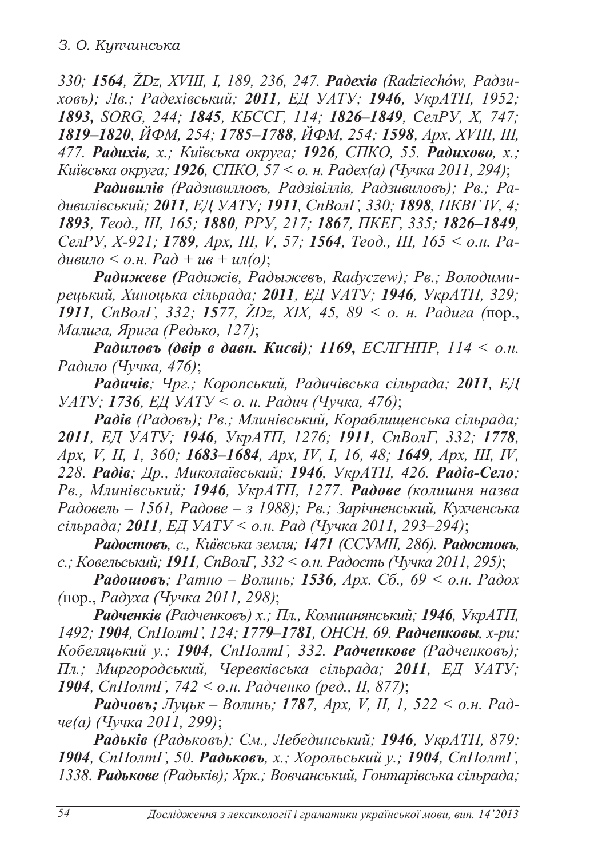330; 1564, ŽDz, XVIII, I, 189, 236, 247. **Padexis** (Radziechów, Pad3u*xoвъ); Лв.; Радехівський; 2011, ЕД УАТУ; 1946, УкрАТП, 1952; 1893, SORG, 244; 1845, ɄȻɋɋȽ, 114; 1826–1849, ɋɟɥɊɍ, X, 747; 1819–1820, ɃɎɆ, 254; 1785–1788, ɃɎɆ, 254; 1598, Ⱥɪɯ, XVIII, III, 477. Радихів. х.; Київська округа; 1926, СПКО, 55. Радихово, х.; Ʉɢʀɜɫɶɤɚɨɤɪɭɝɚ; 1926, ɋɉɄɈ, 57 < ɨ. ɧ. Ɋɚɞɟɯɚ) (ɑɭɱɤɚ 2011, 294)*;

Радивилів (Радзивилловъ, Радзівіллів, Радзивиловъ); Рв.; Ра- $\partial$ ивилівський; 2011, ЕД УАТУ; 1911, СпВолГ, 330; 1898, ПКВГ IV, 4; *1893, Ɍɟɨɞ., III, 165; 1880, ɊɊɍ, 217; 1867, ɉɄȿȽ, 335; 1826–1849,*  $Ce^{iM}$ , *X*-921; 1789, *Apx, III, V, 57; 1564, Теод., III, 165* < *о.н. Ра*  $\partial u \sin \theta \leq \rho H$ ,  $P \sin \theta + u \sin \theta$ ;

Fадижеве (Радижів, Радыжевъ, Radyczew); Рв.; Володими*pецький, Хиноцька сільрада; 2011, ЕД УАТУ; 1946, УкрАТП, 329; 1911, СпВолГ, 332; 1577, ŽDz, XIX, 45, 89 <*  $\sigma$ *. н. Радига (пор., Малига, Ярига (Редько, 127);* 

*Pадиловъ (двір в давн. Києві); 1169, ЕСЛГНПР, 114 < о.н.* Радило (Чучка, 476);

**Радичів**; Чрг.; Коропський, Радичівська сільрада; 2011, ЕД *ɍȺɌɍ; 1736, ȿȾɍȺɌɍ < ɨ. ɧ. Ɋɚɞɢɱ (ɑɭɱɤɚ, 476)*;

Радів (Радовъ); Рв.; Млинівський, Кораблищенська сільрада; *2011, ȿȾ ɍȺɌɍ; 1946, ɍɤɪȺɌɉ, 1276; 1911, ɋɩȼɨɥȽ, 332; 1778, Apx, V, II, 1, 360;* **1683–1684**, *Apx, IV, I, 16, 48;* **1649**, *Apx, III, IV,* 228. **Радів**; Др., Миколаївський; 1946, УкрАТП, 426. Радів-Село; Рв., Млинівський; 1946, УкрАТП, 1277. Радове (колишня назва  $Pa$ довель − 1561, Радове − з 1988); Рв.; Зарічненський, Кухченська *ciльрада*; **2011**, *EД УАТУ* < *o.н. Рад (Чучка 2011, 293–294)*;

**Радостовъ**, с., Київська земля; 1471 (ССУМІІ, 286). Радостовъ, *c.*; *Ковельський*; *1911*, *СпВолГ*, 332 < *о.н. Радость (Чучка 2011, 295)*;

**Радошовъ**; Ратно – Волинь; 1536, Арх. Сб., 69 < о.н. Радох *(*ɩɨɪ.,*Ɋɚɞɭɯɚ (ɑɭɱɤɚ 2011, 298)*;

**Радченків** (Радченковъ) х.; Пл., Комишнянський; 1946, УкрАТП, 1492; 1904, СпПолтГ, 124; 1779–1781, ОНСН, 69. Радченковы, х-ри;  $Ko6e$ ляцький у.; 1904, СпПолтГ, 332. Радченкове (Радченковъ);  $\Pi$ л.; Миргородський, Черевківська сільрада; 2011, ЕД УАТУ; 1904, СпПолтГ, 742 < о.н. Радченко (ред., II, 877);

**Радчовъ;** Луцьк – Волинь; 1787, Арх, V, II, 1, 522 < о.н. Рад*че(а)* (Чучка 2011, 299);

Радьків (Радьковъ); См., Лебединський; 1946, УкрАТП, 879; **1904**, СпПолтГ, 50. Радьковъ, х.; Хорольський у.; 1904, СпПолтГ, **1338. Радькове** (Радьків); Хрк.; Вовчанський, Гонтарівська сільрада;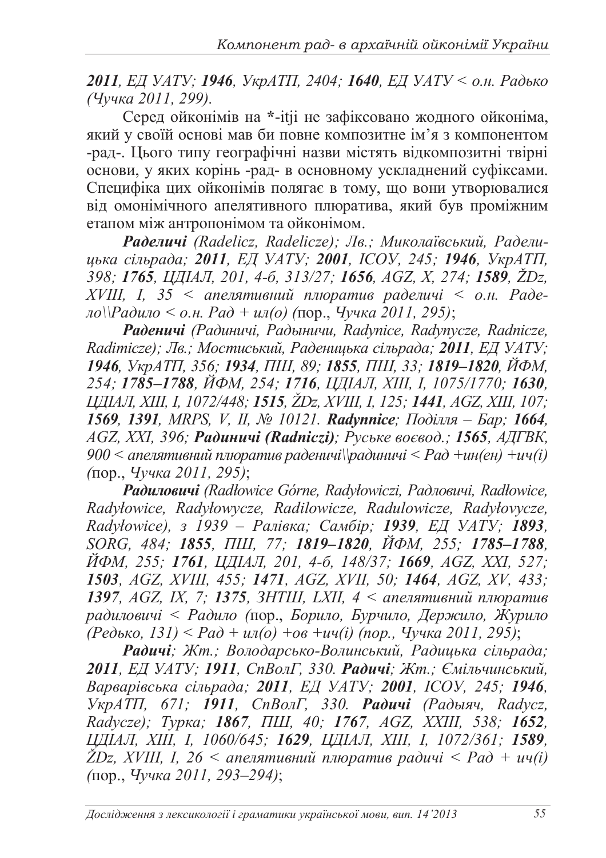**2011**, *ЕД УАТУ*; **1946**, *УкрАТП*, 2404; **1640**, *ЕД УАТУ* < о.н. Радько *ɑɭɱɤɚ 2011, 299).* 

Серед ойконімів на \*-itji не зафіксовано жодного ойконіма, який у своїй основі мав би повне композитне ім'я з компонентом -рал-. Шього типу географічні назви містять вілкомпозитні твірні основи, у яких корінь -рад- в основному ускладнений суфіксами. Специфіка цих ойконімів полягає в тому, що вони утворювалися від омонімічного апелятивного плюратива, який був проміжним етапом між антропонімом та ойконімом.

Fadeличi (Radelicz, Radelicze); Лв.; Миколаївський, Радели- $\mu$ ька сільрада; 2011, ЕД УАТУ; 2001, ICOУ, 245; 1946, УкрАТП, *398; 1765, ɐȾȱȺɅ, 201, 4-ɛ, 313/27; 1656, AGZ, X, 274; 1589, ŽDz, XVIII, I, 35 < апелятивний плюратив раделичі < о.н. Раде-* $\mu_0$ ||Радило < о.н. Рад + ил(о) (пор., Чучка 2011, 295);

*Ɋɚɞɟɧɢɱɿ (Ɋɚɞɢɧɢɱɿ, Ɋɚɞɵɧɢɱɢ, Radynice, Radynycze, Radnicze, Radimicze); Лв.; Мостиський, Раденицька сільрада; 2011, ЕД УАТУ; 1946, ɍɤɪȺɌɉ, 356; 1934, ɉɒ, 89; 1855, ɉɒ, 33; 1819–1820, ɃɎɆ, 254; 1785–1788, ɃɎɆ, 254; 1716, ɐȾȱȺɅ, XIII, I, 1075/1770; 1630, ɐȾȱȺɅ, XIII, I, 1072/448; 1515, ŽDz, XVIII, I, 125; 1441, AGZ, XIII, 107; 1569, 1391, MRPS, V, II, ʋ 10121. Radynnice; ɉɨɞɿɥɥɹ – Ȼɚɪ; 1664, AGZ, XXI, 396; Радиничі (Radniczi); Руське воєвод.; 1565, АДГВК,* 900 < апелятивний плюратив раденичі \\paдиничі < Рад +ин(ен) +ич(i) *(*ɩɨɪ.,*ɑɭɱɤɚ 2011, 295)*;

**Радиловичі** (Radłowice Górne, Radyłowiczi, Радловичі, Radłowice, *Radyáowice, Radyáowycze, Radilowicze, Radulowicze, Radyáovycze, Radyáowice), ɡ 1939 – Ɋɚɥɿɜɤɚ; ɋɚɦɛɿɪ; 1939, ȿȾ ɍȺɌɍ; 1893, SORG, 484; 1855, ɉɒ, 77; 1819–1820, ɃɎɆ, 255; 1785–1788, ɃɎɆ, 255; 1761, ɐȾȱȺɅ, 201, 4-ɛ, 148/37; 1669, AGZ, XXI, 527; 1503, AGZ, XVIII, 455; 1471, AGZ, XVII, 50; 1464, AGZ, XV, 433;*  1397, AGZ, IX, 7; 1375, 3НТШ, LXII, 4 < апелятивний плюратив  $padu\pi$  *вичи < Радило* (пор., *Борило, Бурчило, Держило, Журило*  $^{17}(Pe\delta$ *bKO*, 131) < Pa $\delta$  +  $u\pi$ ( $\delta$ ) + $\delta\epsilon$  + $u\pi$ ( $i$ ) (пор., Чучка 2011, 295),

Радичі; Жт.; Володарсько-Волинський, Радицька сільрада; *2011, ȿȾɍȺɌɍ; 1911, ɋɩȼɨɥȽ, 330. Ɋɚɞɢɱɿ; ɀɬ.; ȯɦɿɥɶɱɢɧɫɶɤɢɣ, ȼɚɪɜɚɪɿɜɫɶɤɚ ɫɿɥɶɪɚɞɚ; 2011, ȿȾ ɍȺɌɍ; 2001, ȱɋɈɍ, 245; 1946, ɍɤɪȺɌɉ, 671; 1911, ɋɩȼɨɥȽ, 330. Ɋɚɞɢɱɿ (Ɋɚɞɵɹɱ, Radycz, Radycze); Ɍɭɪɤɚ; 1867, ɉɒ, 40; 1767, AGZ, XXIII, 538; 1652, ɐȾȱȺɅ, XIII, I, 1060/645; 1629, ɐȾȱȺɅ, XIII, I, 1072/361; 1589,*  $Z$ Dz, XVIII, I, 26 < апелятивний плюратив радичі < Рад + ич(i) *(*ɩɨɪ.,*ɑɭɱɤɚ 2011, 293–294)*;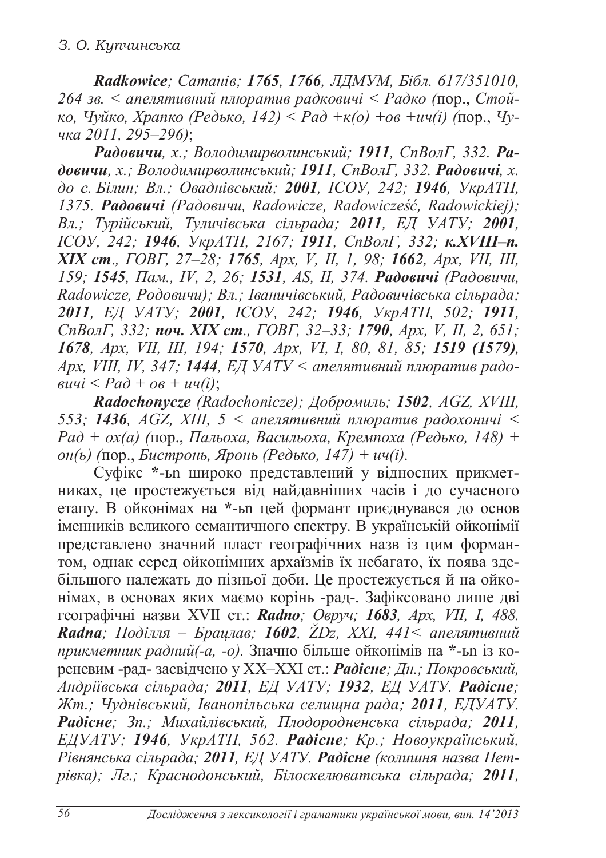Radkowice; Сатанів; 1765, 1766, ЛДМУМ, Бібл. 617/351010,  $264$  зв. < апелятивний плюратив радковичі < Радко (пор., Стой- $\kappa$ *o*,  $\eta$ <sup>*yūko*,  $X$ *panko* ( $P$ едь $\kappa$ *o*,  $142$ )  $\leq$   $P$ *a* $\partial$   $+\kappa$ (*o*)  $+$ *o* $\theta$   $+$ *u* $\eta$ (*i*) ( $\eta$ op.,  $\eta$ *y*-</sup> *ɱɤɚ 2011, 295–296)*;

 $Pa∂овичи, x.; Володимироволинський; 1911, СпВолГ, 332. Pa$ *ɞɨɜɢɱɢ, ɯ.; ȼɨɥɨɞɢɦɢɪɜɨɥɢɧɫɶɤɢɣ; 1911, ɋɩȼɨɥȽ, 332.Ɋɚɞɨɜɢɱɿ, ɯ.*  $\phi$ до с. Білин; Вл.; Оваднівський; 2001, ICOV, 242; 1946, УкрАТП, *1375. Ɋɚɞɨɜɢɱɿ (Ɋɚɞɨɜɢɱɢ, Radowicze, RadowiczeĞü, Radowickiej);*   $B\pi$ ; Турійський, Туличівська сільрада; 2011, ЕД УАТУ; 2001, *ȱɋɈɍ, 242; 1946, ɍɤɪȺɌɉ, 2167; 1911, ɋɩȼɨɥȽ, 332; ɤ.XVIII–ɩ. ɏȱɏ ɫɬ*.*, ȽɈȼȽ, 27–28; 1765, Ⱥɪɯ, V, II, 1, 98; 1662, Ⱥɪɯ, VII, III, 159; 1545, Пам., IV, 2, 26; 1531, AS, II, 374. Радовичи (Радовичи,*  $R$ адоwicze, Родовичи); Вл.; Іваничівський, Радовичівська сільрада; *2011, ȿȾ ɍȺɌɍ; 2001, ȱɋɈɍ, 242; 1946, ɍɤɪȺɌɉ, 502; 1911,*  $ChBoA\Gamma$ , 332; **поч. XIX ст**., ГОВГ, 32–33; 1790, *Apx, V, II, 2, 651; 1678, Ⱥɪɯ, VII, III, 194; 1570, Ⱥɪɯ, VI, I, 80, 81, 85; 1519 (1579), Apx, VIII, IV, 347; 1444, ЕД УАТУ < апелятивний плюратив радо-* $\overline{\textbf{B}}$ *auyi* <  $\overline{\textbf{B}}$  +  $\overline{\textbf{B}}$  +  $\overline{\textbf{B}}$  +  $\overline{\textbf{B}}$  +  $\overline{\textbf{B}}$  +  $\overline{\textbf{B}}$  +  $\overline{\textbf{B}}$  +  $\overline{\textbf{B}}$  +  $\overline{\textbf{B}}$  +  $\overline{\textbf{B}}$  +  $\overline{\textbf{B}}$  +  $\overline{\textbf{B}}$  +  $\overline{\textbf{B}}$  +  $\overline{\textbf{B}}$  +  $\overline{\$ 

Radochonycze (Radochonicze); Добромиль; 1502, AGZ, XVIII, 553; 1436, АGZ, XIII, 5 < апелятивний плюратив радохоничі <  $Pa\delta + ox(a)$  (пор., Пальоха, Васильоха, Кремпоха (Редько, 148) +  $\delta$ *θ*(*ы*) (пор., *Бистронь, Яронь (Редько, 147) + ич(i).* 

Суфікс \*-ы широко представлений у відносних прикмет-HИКАХ, ЦЕ ПРОСТЕЖУЄТЬСЯ ВІД НАЙДАВНІШИХ ЧАСІВ І ДО СУЧАСНОГО етапу. В ойконімах на \*-ы цей формант приєднувався до основ iменникiв великого семантичного спектру. В українській ойконімії представлено значний пласт географічних назв із цим форман- $\overline{1}$ том, однак серед ойконімних архаїзмів їх небагато, їх поява здебільшого належать до пізньої доби. Це простежується й на ойконімах, в основах яких маємо корінь -рад-. Зафіксовано лише дві теографічні назви XVII ст.: **Radno**; Овруч; 1683, Арх, VII, I, 488. **Radna**; Поділля – Брацлав; 1602, ŽDz, XXI, 441< апелятивний прикметник радний(-а, -о). Значно більше ойконімів на \*-ьп із котеневим -рад- засвідчено у XX-XXI ст.: Радісне; Дн.; Покровський, *Ⱥɧɞɪɿʀɜɫɶɤɚ ɫɿɥɶɪɚɞɚ; 2011, ȿȾɍȺɌɍ; 1932, ȿȾ ɍȺɌɍ. Ɋɚɞɿɫɧɟ;* Жт.; Чуднівський, Іванопільська селищна рада; 2011, ЕДУАТУ. *Ɋɚɞɿɫɧɟ; Ɂɩ.; Ɇɢɯɚɣɥɿɜɫɶɤɢɣ, ɉɥɨɞɨɪɨɞɧɟɧɫɶɤɚ ɫɿɥɶɪɚɞɚ; 2011,*  $E\text{J\textsc{YATY}}$ ; 1946, УкрАТП, 562. Радісне; Кр.; Новоукраїнський, <del>Д</del>ѻитъ, 1991, стрити, 2011 г. 2016 и 1991 г. и 1991 г. и 1991 г. и 1991 г. и 2018 г. 2011 г. Радісне (колишня назва Пет $pi$ вівка); Лг.; Краснодонський, Білоскелюватська сільрада; 2011,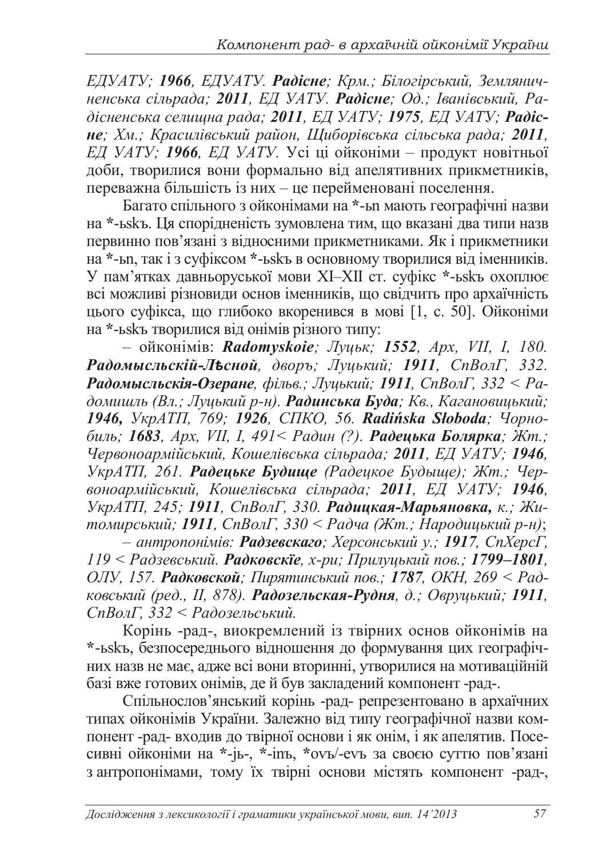**ЕДУАТУ**; 1966, ЕДУАТУ. Радісне; Крм.; Білогірський, Землянич*ненська сільрада; 2011, ЕД УАТУ. Радісне; Од.; Іванівський, Ра-* $\delta$ iсненська селищна рада; 2011, ЕД УАТУ; 1975, ЕД УАТУ; Радiс- $He$ ;  $X_M$ .; Красилівський район, Щиборівська сільська рада; 2011, *EД УАТУ; 1966, ЕД УАТУ.* Усі ці ойконіми – продукт новітньої доби, творилися вони формально від апелятивних прикметників, переважна більшість із них – це перейменовані поселення.

Багато спільного з ойконімами на \*-ы мають географічні назви на \*-ьskъ. Ця спорідненість зумовлена тим, що вказані два типи назв первинно пов'язані з відносними прикметниками. Як і прикметники на \*-ып, так і з суфіксом \*-ы в основному творилися від іменників. У пам'ятках давньоруської мови XI–XII ст. суфікс \*-ьзкъ охоплює всі можливі різновиди основ іменників, що свідчить про архаїчність цього суфікса, що глибоко вкоренився в мові [1, с. 50]. Ойконіми на \*-ь якъ творилися від онімів різного типу:

– ɨɣɤɨɧɿɦɿɜ: *Radomyskoie; Ʌɭɰɶɤ; 1552, Ⱥɪɯ, VIȱ, ȱ, 180. ɊɚɞɨɦɵɫɥɶɫɤɿɣɅ̈́ɫɧɨɣ, ɞɜɨɪɴ; Ʌɭɰɶɤɢɣ; 1911, ɋɩȼɨɥȽ, 332.*  **Радомысльскія-Озеране**, фільв.; Луиький; 1911, СпВолГ, 332 < Радомишль (Вл.; Луцький р-н). Радинська Буда; Кв., Кагановицький; 1946, УкрАТП, 769; 1926, СПКО, 56. Radińska Słoboda; Чорно- $6u\pi$ *•; 1683, <i>Apx, VII, I, 491< Радин (?). Радецька Болярка; Жт.; ɑɟɪɜɨɧɨɚɪɦɿɣɫɶɤɢɣ, Ʉɨɲɟɥɿɜɫɶɤɚɫɿɥɶɪɚɞɚ; 2011, ȿȾɍȺɌɍ; 1946, ɍɤɪȺɌɉ, 261. Ɋɚɞɟɰɶɤɟ Ȼɭɞɢɳɟ Ɋɚɞɟɰɤɨɟ Ȼɭɞɵɳɟ); ɀɬ.; ɑɟɪɜɨɧɨɚɪɦɿɣɫɶɤɢɣ, Ʉɨɲɟɥɿɜɫɶɤɚ ɫɿɥɶɪɚɞɚ; 2011, ȿȾ ɍȺɌɍ; 1946,* VкрАТП, 245; 1911, СпВолГ, 330. Радицкая-Марьяновка, к.; Жи- $\hat{H}$ *n* $\hat{O}$ мирський; 1911, СпВолГ, 330 < Радча (Жт.; Народицький р-н);

*– ɚɧɬɪɨɩɨɧɿɦɿɜ:Ɋɚɞɡɟɜɫɤɚɝɨ; ɏɟɪɫɨɧɫɶɤɢɣɭ.; 1917, ɋɩɏɟɪɫȽ,*  $119 < Pa$ дзевський. Радковскіе, х-ри; Прилуцький пов.; 1799–1801, *ɈɅɍ, 157. Ɋɚɞɤɨɜɫɤɨɣ; ɉɢɪɹɬɢɧɫɶɤɢɣɩɨɜ.; 1787, ɈɄɇ, 269 < Ɋɚɞɤɨɜɫɶɤɢɣ (ɪɟɞ., Iȱ, 878).ɊɚɞɨɡɟɥɶɫɤɚɹɊɭɞɧɹ, ɞ.; Ɉɜɪɭɰɶɤɢɣ; 1911,*  $ChBoлΓ, 332 < PA$ ддозельський.

Корінь -рад-, виокремлений із твірних основ ойконімів на \*-ьskъ, безпосереднього відношення до формування цих географічних назв не має, адже всі вони вторинні, утворилися на мотиваційній базі вже готових онімів, де й був закладений компонент -рад-.

Спільнослов'янський корінь -рад- репрезентовано в архаїчних типах ойконімів України. Залежно від типу географічної назви компонент -рад- входив до твірної основи і як онім, і як апелятив. Посесивні ойконіми на \*-jь-, \*-inъ, \*ovъ/-evъ за своєю суттю пов'язані з антропонімами, тому їх твірні основи містять компонент -рад-,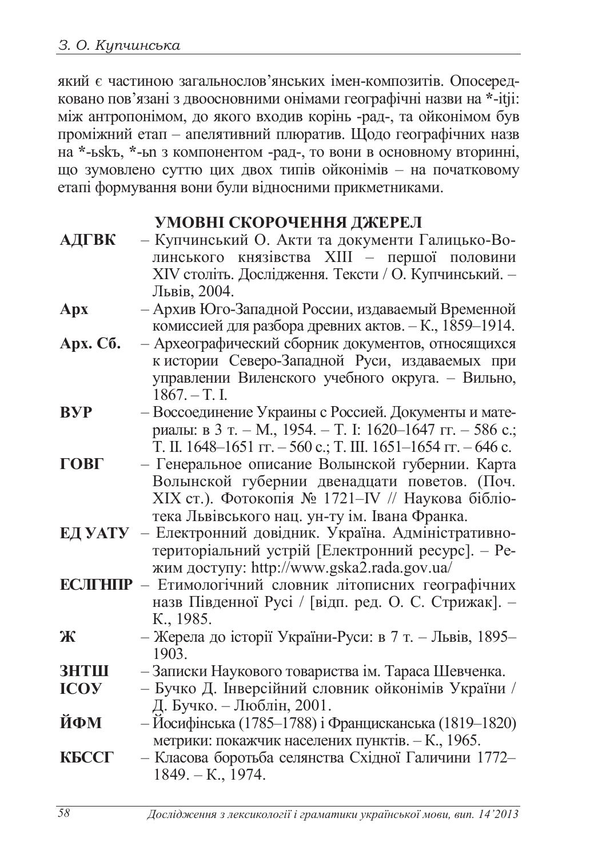який є частиною загальнослов'янських імен-композитів. Опосередковано пов'язані з двоосновними онімами географічні назви на \*-itji: між антропонімом, до якого входив корінь -рад-, та ойконімом був проміжний етап – апелятивний плюратив. Щодо географічних назв на \*-ьskъ, \*-ы з компонентом -рад-, то вони в основному вторинні, що зумовлено суттю цих двох типів ойконімів - на початковому етапі формування вони були відносними прикметниками.

## УМОВНІ СКОРОЧЕННЯ ЛЖЕРЕЛ

| АДГВК - Купчинський О. Акти та документи Галицько-Во- |
|-------------------------------------------------------|
| линського князівства XIII - першої половини           |
| XIV століть. Дослідження. Тексти / О. Купчинський. -  |
| Львів, 2004.                                          |

- **Ⱥɪɯ** –ȺɪɯɢɜɘɝɨɁɚɩɚɞɧɨɣɊɨɫɫɢɢ, ɢɡɞɚɜɚɟɦɵɣȼɪɟɦɟɧɧɨɣ комиссией для разбора древних актов. – К., 1859–1914.
- Арх. Сб. Археографический сборник документов, относящихся кистории Северо-Западной Руси, издаваемых при управлении Виленского учебного округа. – Вильно,  $1867. - T.$  I.
- ВУР Воссоединение Украины с Россией. Документы и материалы: в 3 т. – М., 1954. – Т. І. 1620–1647 гг. – 586 с.; T. II. 1648–1651  $\text{Tr}$ . – 560 c.; T. III. 1651–1654  $\text{Tr}$ . – 646 c.
- ГОВГ Генеральное описание Волынской губернии. Карта Волынской губернии двенадцати поветов. (Поч. XIX ст.). Фотокопія № 1721–IV // Наукова бібліотека Львівського нац. ун-ту ім. Івана Франка.
- **ЕД УАТУ** Електронний довідник. Україна. Адміністративнотериторіальний устрій [Електронний ресурс]. – Режим доступу: http://www.gska2.rada.gov.ua/
- **ЕСЛГНПР** Етимологічний словник літописних географічних назв Південної Русі / [відп. ред. О. С. Стрижак]. -K., 1985.
- Ж Жерела до історії України-Руси: в 7 т. Львів, 1895– 1903.
- **ЗНТШ** Записки Наукового товариства ім. Тараса Шевченка.
- **ICOУ** Бучко Д. Інверсійний словник ойконімів України / Д. Бучко. – Люблін, 2001.
- **ЙФМ** Йосифінська (1785–1788) і Францисканська (1819–1820) метрики: покажчик населених пунктів. – К., 1965.
- **КБССГ Класова боротьба селянства Східної Галичини 1772–**  $1849. - K., 1974.$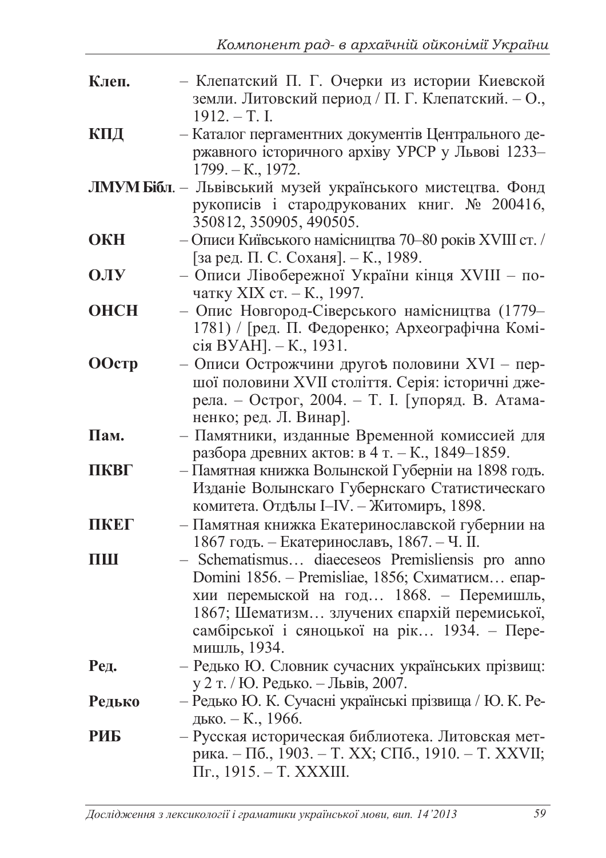| Клеп.         | - Клепатский П. Г. Очерки из истории Киевской<br>земли. Литовский период / П. Г. Клепатский. - О.,<br>$1912. - T. I.$                                                                                                                                            |
|---------------|------------------------------------------------------------------------------------------------------------------------------------------------------------------------------------------------------------------------------------------------------------------|
| КПД           | - Каталог пергаментних документів Центрального де-<br>ржавного історичного архіву УРСР у Львові 1233-<br>$1799. - K., 1972.$                                                                                                                                     |
|               | ЛМУМ Бібл. - Львівський музей українського мистецтва. Фонд<br>рукописів і стародрукованих книг. № 200416,<br>350812, 350905, 490505.                                                                                                                             |
| <b>OKH</b>    | - Описи Київського намісництва 70-80 років XVIII ст. /<br>[за ред. П. С. Соханя]. – К., 1989.                                                                                                                                                                    |
| <b>OJIY</b>   | - Описи Лівобережної України кінця XVIII - по-<br>чатку XIX ст. – К., 1997.                                                                                                                                                                                      |
| <b>OHCH</b>   | - Опис Новгород-Сіверського намісництва (1779-<br>1781) / Гред. П. Федоренко; Археографічна Комі-<br>сія ВУАН]. – К., 1931.                                                                                                                                      |
| <b>OOcTp</b>  | - Описи Острожчини другођ половини XVI - пер-<br>шої половини XVII століття. Серія: історичні дже-<br>рела. – Острог, 2004. – Т. I. [упоряд. В. Атама-<br>ненко; ред. Л. Винар].                                                                                 |
| Пам.          | - Памятники, изданные Временной комиссией для<br>разбора древних актов: в 4 т. – К., 1849–1859.                                                                                                                                                                  |
| ПКВГ          | – Памятная книжка Волынской Губерніи на 1898 годъ.<br>Изданіе Волынскаго Губернскаго Статистическаго<br>комитета. Отделы I-IV. - Житомиръ, 1898.                                                                                                                 |
| ПКЕГ          | Памятная книжка Екатеринославской губернии на<br>1867 годъ. – Екатеринославъ, 1867. – Ч. II.                                                                                                                                                                     |
| Ш             | - Schematismus diaeceseos Premisliensis pro anno<br>Domini 1856. – Premisliae, 1856; Схиматисм епар-<br>хии перемыской на год 1868. - Перемишль,<br>1867; Шематизм злучених спархій перемиської,<br>самбірської і сяноцької на рік 1934. - Пере-<br>мишль, 1934. |
| Ред.          | - Редько Ю. Словник сучасних українських прізвищ:<br>у 2 т. / Ю. Редько. – Львів, 2007.                                                                                                                                                                          |
| <b>Редько</b> | – Редько Ю. К. Сучасні українські прізвища / Ю. К. Ре-<br>дько. – К., 1966.                                                                                                                                                                                      |
| РИБ           | – Русская историческая библиотека. Литовская мет-<br>рика. – Пб., 1903. – Т. XX; СПб., 1910. – Т. XXVII;<br>Пг., 1915. – Т. XXXIII.                                                                                                                              |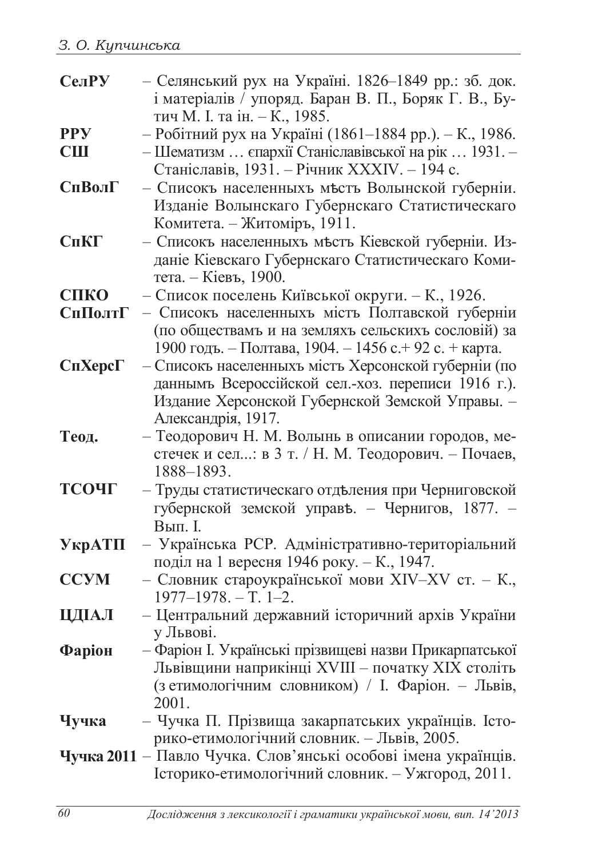| СелРУ          | - Селянський рух на Україні. 1826-1849 рр.: зб. док.                                                         |
|----------------|--------------------------------------------------------------------------------------------------------------|
|                | і матеріалів / упоряд. Баран В. П., Боряк Г. В., Бу-                                                         |
|                | тич М. І. та ін. – К., 1985.                                                                                 |
| <b>PPY</b>     | - Робітний рух на Україні (1861-1884 рр.). - К., 1986.                                                       |
| <b>CIII</b>    | - Шематизм  єпархії Станіславівської на рік  1931. -                                                         |
|                | Станіславів, 1931. - Річник XXXIV. - 194 с.                                                                  |
| <b>СпВолГ</b>  | - Списокъ населенныхъ мъсть Волынской губерніи.                                                              |
|                | Изданіе Волынскаго Губернскаго Статистическаго<br>Комитета. – Житоміръ, 1911.                                |
| CnKT           | - Списокъ населенныхъ мъсть Кіевской губерніи. Из-                                                           |
|                | даніе Кіевскаго Губернскаго Статистическаго Коми-                                                            |
|                | тета. – Кіевъ, 1900.                                                                                         |
| СПКО           | – Список поселень Київської округи. – К., 1926.                                                              |
| СпПолтГ        | - Списокъ населенныхъ мість Полтавской губерніи                                                              |
|                | (по обществамъ и на земляхъ сельскихъ сословій) за                                                           |
|                | 1900 годъ. – Полтава, 1904. – 1456 с. + 92 с. + карта.                                                       |
| $CnXepc\Gamma$ | - Списокъ населенныхъ мість Херсонской губерніи (по                                                          |
|                | даннымъ Всероссійской сел.-хоз. переписи 1916 г.).                                                           |
|                | Издание Херсонской Губернской Земской Управы. -                                                              |
|                | Александрія, 1917.                                                                                           |
| Теод.          | - Теодорович Н. М. Волынь в описании городов, ме-                                                            |
|                | стечек и сел: в 3 т. / Н. М. Теодорович. - Почаев,<br>1888-1893.                                             |
| ТСОЧГ          |                                                                                                              |
|                | - Труды статистическаго отделения при Черниговской<br>губернской земской управъ. – Чернигов, 1877. –         |
|                | Вып. І                                                                                                       |
| $Y$ кр $AT\Pi$ | - Українська РСР. Адміністративно-територіальний                                                             |
|                | поділ на 1 вересня 1946 року. – К., 1947.                                                                    |
| <b>CCYM</b>    | - Словник староукраїнської мови XIV-XV ст. - К.,                                                             |
|                | $1977 - 1978. - T. 1 - 2.$                                                                                   |
| ЦДІАЛ          | - Центральний державний історичний архів України                                                             |
|                | у Львові.                                                                                                    |
| $\Phi$ аріон   | - Фаріон I. Українські прізвищеві назви Прикарпатської                                                       |
|                | Львівщини наприкінці XVIII - початку XIX століть                                                             |
|                | (з етимологічним словником) / І. Фаріон. - Львів,                                                            |
|                | 2001.                                                                                                        |
| Чучка          | - Чучка П. Прізвища закарпатських українців. Істо-                                                           |
|                | рико-етимологічний словник. - Львів, 2005.<br>Чучка 2011 - Павло Чучка. Слов'янські особові імена українців. |
|                | Історико-етимологічний словник. - Ужгород, 2011.                                                             |
|                |                                                                                                              |